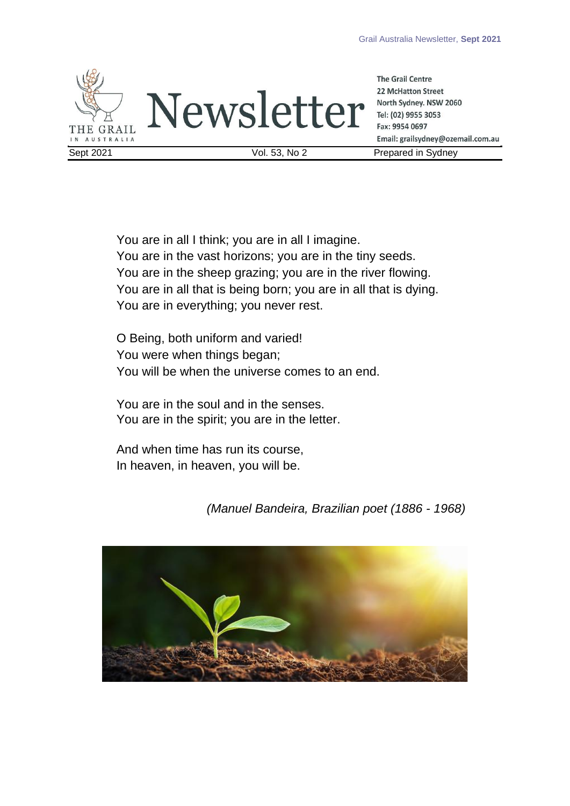

**The Grail Centre 22 McHatton Street** North Sydney. NSW 2060 Tel: (02) 9955 3053 Fax: 9954 0697 Email: grailsydney@ozemail.com.au

<span id="page-0-0"></span>You are in all I think; you are in all I imagine. You are in the vast horizons; you are in the tiny seeds. You are in the sheep grazing; you are in the river flowing. You are in all that is being born; you are in all that is dying. You are in everything; you never rest.

O Being, both uniform and varied! You were when things began; You will be when the universe comes to an end.

You are in the soul and in the senses. You are in the spirit; you are in the letter.

And when time has run its course, In heaven, in heaven, you will be.

*(Manuel Bandeira, Brazilian poet (1886 - 1968)*

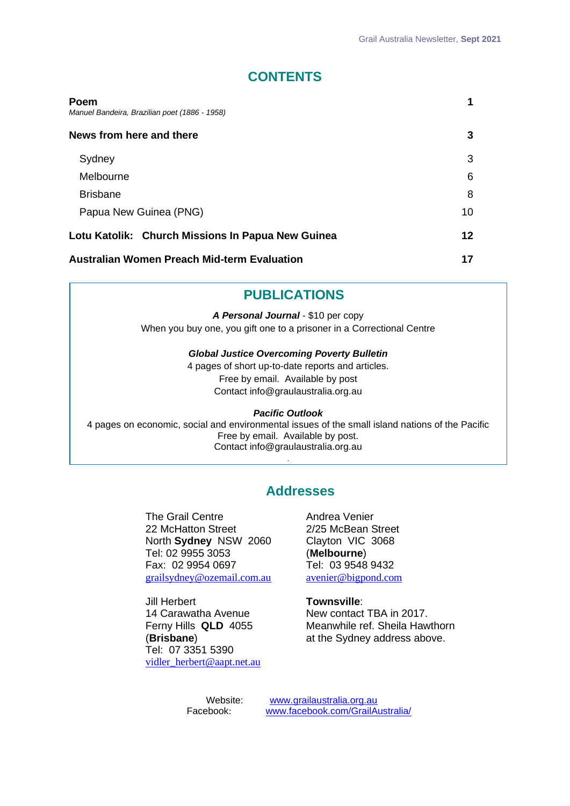# **CONTENTS**

| Poem<br>Manuel Bandeira, Brazilian poet (1886 - 1958) | 1  |
|-------------------------------------------------------|----|
| News from here and there                              | 3  |
| Sydney                                                | 3  |
| Melbourne                                             | 6  |
| <b>Brisbane</b>                                       | 8  |
| Papua New Guinea (PNG)                                | 10 |
| Lotu Katolik: Church Missions In Papua New Guinea     | 12 |
| <b>Australian Women Preach Mid-term Evaluation</b>    | 17 |

## **PUBLICATIONS**

*A Personal Journal* - \$10 per copy When you buy one, you gift one to a prisoner in a Correctional Centre

#### *Global Justice Overcoming Poverty Bulletin*

4 pages of short up-to-date reports and articles. Free by email. Available by post Contact info@graulaustralia.org.au

#### *Pacific Outlook*

4 pages on economic, social and environmental issues of the small island nations of the Pacific Free by email. Available by post. Contact info@graulaustralia.org.au

.

## **Addresses**

The Grail Centre 22 McHatton Street North **Sydney** NSW 2060 Tel: 02 9955 3053 Fax: 02 9954 0697 [grailsydney@ozemail.com.au](mailto:grailsydney@ozemail.com.au)

Jill Herbert 14 Carawatha Avenue Ferny Hills **QLD** 4055 (**Brisbane**) Tel: 07 3351 5390 [vidler\\_herbert@aapt.net.au](mailto:vidler_herbert@aapt.net.au) Andrea Venier 2/25 McBean Street Clayton VIC 3068 (**Melbourne**) Tel: 03 9548 9432 [avenier@bigpond.com](mailto:avenier@bigpond.com)

#### **Townsville**:

New contact TBA in 2017. Meanwhile ref. Sheila Hawthorn at the Sydney address above.

Website: [www.grailaustralia.org.au](http://www.grailaustralia.org.au/)<br>Facebook: www.facebook.com/GrailA Facebook: [www.facebook.com/GrailAustralia/](http://www.facebook.com/GrailAustralia/)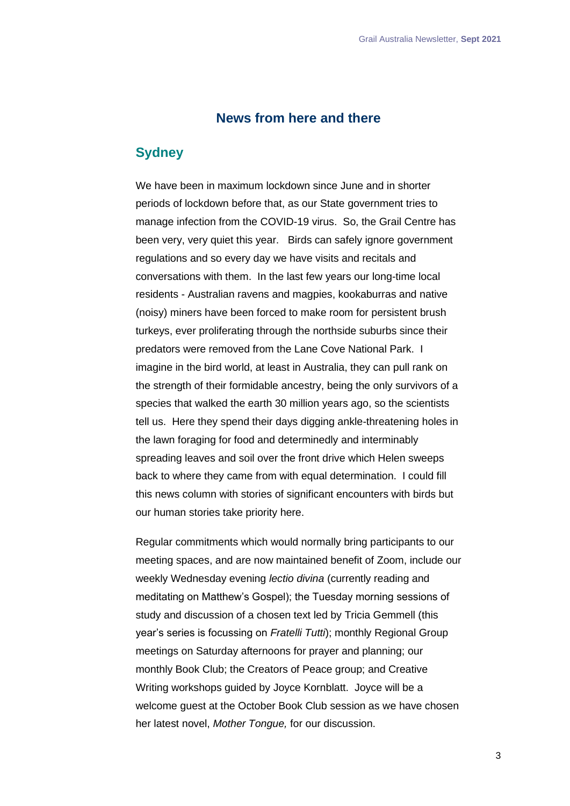## **News from here and there**

## <span id="page-2-1"></span><span id="page-2-0"></span>**Sydney**

We have been in maximum lockdown since June and in shorter periods of lockdown before that, as our State government tries to manage infection from the COVID-19 virus. So, the Grail Centre has been very, very quiet this year. Birds can safely ignore government regulations and so every day we have visits and recitals and conversations with them. In the last few years our long-time local residents - Australian ravens and magpies, kookaburras and native (noisy) miners have been forced to make room for persistent brush turkeys, ever proliferating through the northside suburbs since their predators were removed from the Lane Cove National Park. I imagine in the bird world, at least in Australia, they can pull rank on the strength of their formidable ancestry, being the only survivors of a species that walked the earth 30 million years ago, so the scientists tell us. Here they spend their days digging ankle-threatening holes in the lawn foraging for food and determinedly and interminably spreading leaves and soil over the front drive which Helen sweeps back to where they came from with equal determination. I could fill this news column with stories of significant encounters with birds but our human stories take priority here.

Regular commitments which would normally bring participants to our meeting spaces, and are now maintained benefit of Zoom, include our weekly Wednesday evening *lectio divina* (currently reading and meditating on Matthew's Gospel); the Tuesday morning sessions of study and discussion of a chosen text led by Tricia Gemmell (this year's series is focussing on *Fratelli Tutti*); monthly Regional Group meetings on Saturday afternoons for prayer and planning; our monthly Book Club; the Creators of Peace group; and Creative Writing workshops guided by Joyce Kornblatt. Joyce will be a welcome guest at the October Book Club session as we have chosen her latest novel, *Mother Tongue,* for our discussion.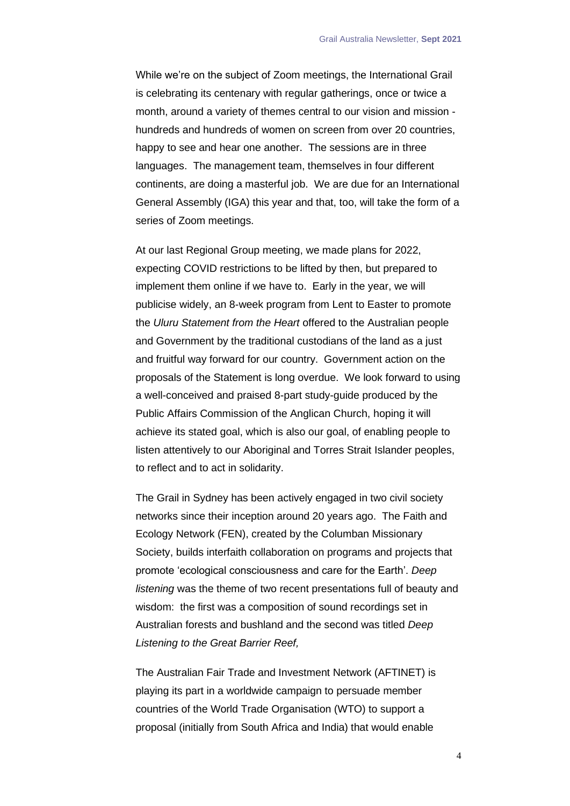While we're on the subject of Zoom meetings, the International Grail is celebrating its centenary with regular gatherings, once or twice a month, around a variety of themes central to our vision and mission hundreds and hundreds of women on screen from over 20 countries, happy to see and hear one another. The sessions are in three languages. The management team, themselves in four different continents, are doing a masterful job. We are due for an International General Assembly (IGA) this year and that, too, will take the form of a series of Zoom meetings.

At our last Regional Group meeting, we made plans for 2022, expecting COVID restrictions to be lifted by then, but prepared to implement them online if we have to. Early in the year, we will publicise widely, an 8-week program from Lent to Easter to promote the *Uluru Statement from the Heart* offered to the Australian people and Government by the traditional custodians of the land as a just and fruitful way forward for our country. Government action on the proposals of the Statement is long overdue. We look forward to using a well-conceived and praised 8-part study-guide produced by the Public Affairs Commission of the Anglican Church, hoping it will achieve its stated goal, which is also our goal, of enabling people to listen attentively to our Aboriginal and Torres Strait Islander peoples, to reflect and to act in solidarity.

The Grail in Sydney has been actively engaged in two civil society networks since their inception around 20 years ago. The Faith and Ecology Network (FEN), created by the Columban Missionary Society, builds interfaith collaboration on programs and projects that promote 'ecological consciousness and care for the Earth'. *Deep listening* was the theme of two recent presentations full of beauty and wisdom: the first was a composition of sound recordings set in Australian forests and bushland and the second was titled *Deep Listening to the Great Barrier Reef,*

The Australian Fair Trade and Investment Network (AFTINET) is playing its part in a worldwide campaign to persuade member countries of the World Trade Organisation (WTO) to support a proposal (initially from South Africa and India) that would enable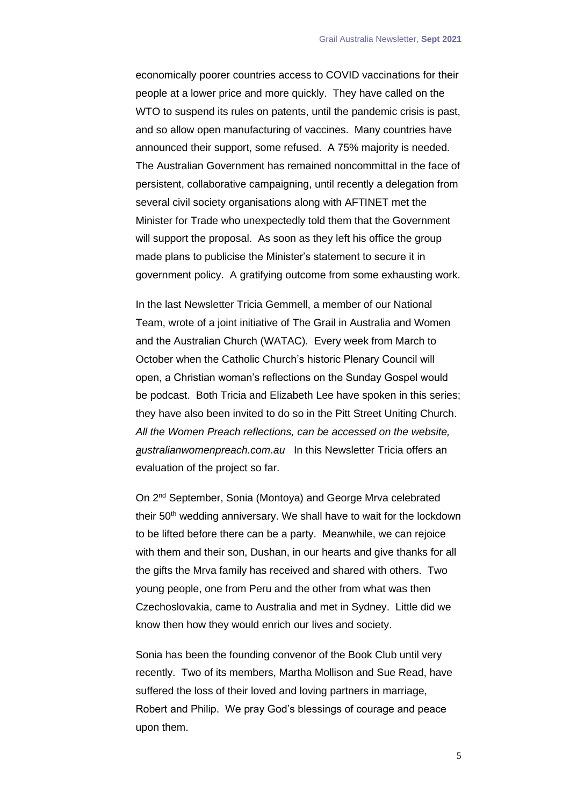economically poorer countries access to COVID vaccinations for their people at a lower price and more quickly. They have called on the WTO to suspend its rules on patents, until the pandemic crisis is past, and so allow open manufacturing of vaccines. Many countries have announced their support, some refused. A 75% majority is needed. The Australian Government has remained noncommittal in the face of persistent, collaborative campaigning, until recently a delegation from several civil society organisations along with AFTINET met the Minister for Trade who unexpectedly told them that the Government will support the proposal. As soon as they left his office the group made plans to publicise the Minister's statement to secure it in government policy. A gratifying outcome from some exhausting work.

In the last Newsletter Tricia Gemmell, a member of our National Team, wrote of a joint initiative of The Grail in Australia and Women and the Australian Church (WATAC). Every week from March to October when the Catholic Church's historic Plenary Council will open, a Christian woman's reflections on the Sunday Gospel would be podcast. Both Tricia and Elizabeth Lee have spoken in this series; they have also been invited to do so in the Pitt Street Uniting Church. *All the Women Preach reflections, can be accessed on the website, australianwomenpreach.com.au* In this Newsletter Tricia offers an evaluation of the project so far.

On 2nd September, Sonia (Montoya) and George Mrva celebrated their 50<sup>th</sup> wedding anniversary. We shall have to wait for the lockdown to be lifted before there can be a party. Meanwhile, we can rejoice with them and their son, Dushan, in our hearts and give thanks for all the gifts the Mrva family has received and shared with others. Two young people, one from Peru and the other from what was then Czechoslovakia, came to Australia and met in Sydney. Little did we know then how they would enrich our lives and society.

Sonia has been the founding convenor of the Book Club until very recently. Two of its members, Martha Mollison and Sue Read, have suffered the loss of their loved and loving partners in marriage, Robert and Philip. We pray God's blessings of courage and peace upon them.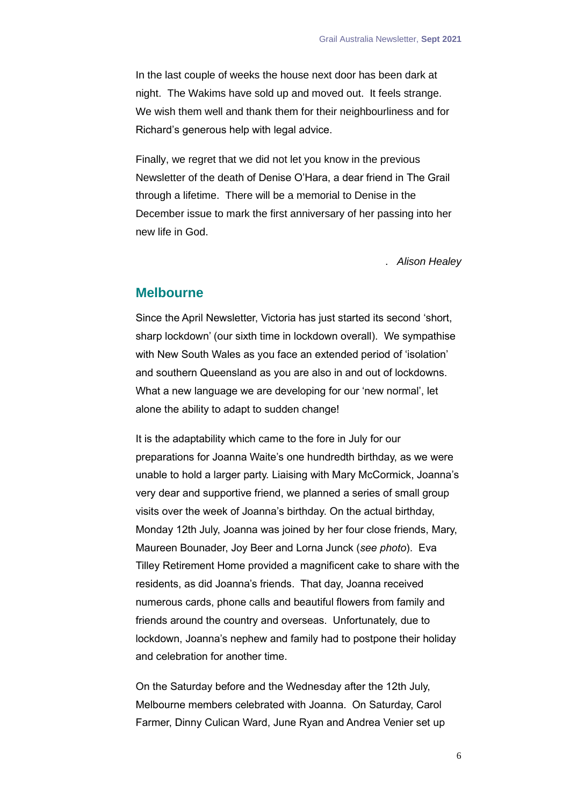In the last couple of weeks the house next door has been dark at night. The Wakims have sold up and moved out. It feels strange. We wish them well and thank them for their neighbourliness and for Richard's generous help with legal advice.

Finally, we regret that we did not let you know in the previous Newsletter of the death of Denise O'Hara, a dear friend in The Grail through a lifetime. There will be a memorial to Denise in the December issue to mark the first anniversary of her passing into her new life in God.

. *Alison Healey*

### <span id="page-5-0"></span>**Melbourne**

Since the April Newsletter, Victoria has just started its second 'short, sharp lockdown' (our sixth time in lockdown overall). We sympathise with New South Wales as you face an extended period of 'isolation' and southern Queensland as you are also in and out of lockdowns. What a new language we are developing for our 'new normal', let alone the ability to adapt to sudden change!

It is the adaptability which came to the fore in July for our preparations for Joanna Waite's one hundredth birthday, as we were unable to hold a larger party. Liaising with Mary McCormick, Joanna's very dear and supportive friend, we planned a series of small group visits over the week of Joanna's birthday. On the actual birthday, Monday 12th July, Joanna was joined by her four close friends, Mary, Maureen Bounader, Joy Beer and Lorna Junck (*see photo*). Eva Tilley Retirement Home provided a magnificent cake to share with the residents, as did Joanna's friends. That day, Joanna received numerous cards, phone calls and beautiful flowers from family and friends around the country and overseas. Unfortunately, due to lockdown, Joanna's nephew and family had to postpone their holiday and celebration for another time.

On the Saturday before and the Wednesday after the 12th July, Melbourne members celebrated with Joanna. On Saturday, Carol Farmer, Dinny Culican Ward, June Ryan and Andrea Venier set up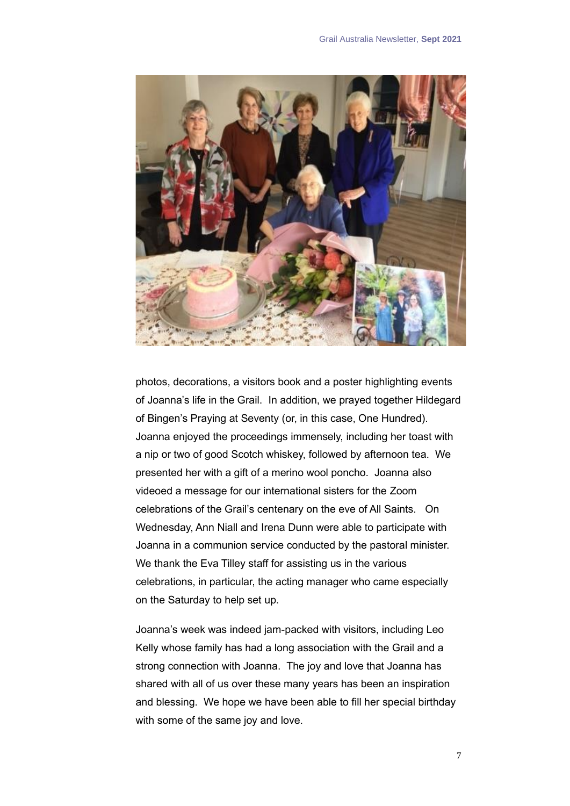

photos, decorations, a visitors book and a poster highlighting events of Joanna's life in the Grail. In addition, we prayed together Hildegard of Bingen's Praying at Seventy (or, in this case, One Hundred). Joanna enjoyed the proceedings immensely, including her toast with a nip or two of good Scotch whiskey, followed by afternoon tea. We presented her with a gift of a merino wool poncho. Joanna also videoed a message for our international sisters for the Zoom celebrations of the Grail's centenary on the eve of All Saints. On Wednesday, Ann Niall and Irena Dunn were able to participate with Joanna in a communion service conducted by the pastoral minister. We thank the Eva Tilley staff for assisting us in the various celebrations, in particular, the acting manager who came especially on the Saturday to help set up.

Joanna's week was indeed jam-packed with visitors, including Leo Kelly whose family has had a long association with the Grail and a strong connection with Joanna. The joy and love that Joanna has shared with all of us over these many years has been an inspiration and blessing. We hope we have been able to fill her special birthday with some of the same joy and love.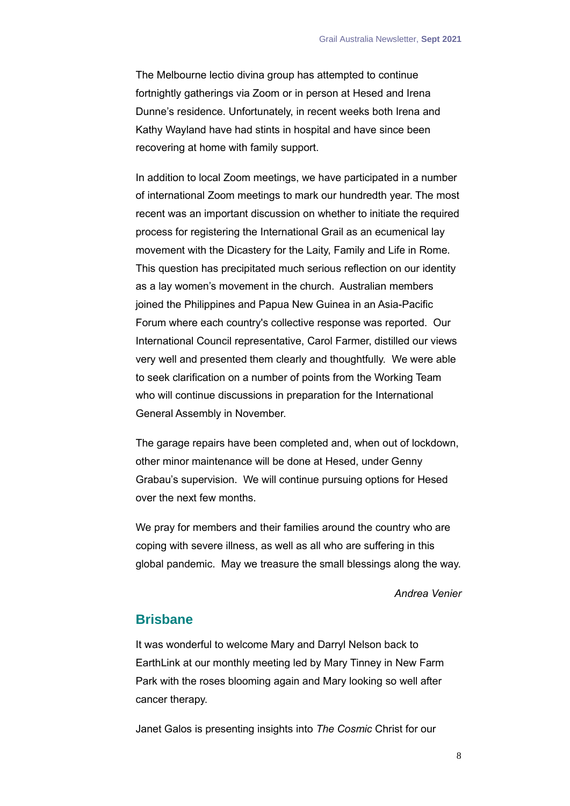The Melbourne lectio divina group has attempted to continue fortnightly gatherings via Zoom or in person at Hesed and Irena Dunne's residence. Unfortunately, in recent weeks both Irena and Kathy Wayland have had stints in hospital and have since been recovering at home with family support.

In addition to local Zoom meetings, we have participated in a number of international Zoom meetings to mark our hundredth year. The most recent was an important discussion on whether to initiate the required process for registering the International Grail as an ecumenical lay movement with the Dicastery for the Laity, Family and Life in Rome. This question has precipitated much serious reflection on our identity as a lay women's movement in the church. Australian members joined the Philippines and Papua New Guinea in an Asia-Pacific Forum where each country's collective response was reported. Our International Council representative, Carol Farmer, distilled our views very well and presented them clearly and thoughtfully. We were able to seek clarification on a number of points from the Working Team who will continue discussions in preparation for the International General Assembly in November.

The garage repairs have been completed and, when out of lockdown, other minor maintenance will be done at Hesed, under Genny Grabau's supervision. We will continue pursuing options for Hesed over the next few months.

We pray for members and their families around the country who are coping with severe illness, as well as all who are suffering in this global pandemic. May we treasure the small blessings along the way.

#### *Andrea Venier*

### <span id="page-7-0"></span>**Brisbane**

It was wonderful to welcome Mary and Darryl Nelson back to EarthLink at our monthly meeting led by Mary Tinney in New Farm Park with the roses blooming again and Mary looking so well after cancer therapy.

Janet Galos is presenting insights into *The Cosmic* Christ for our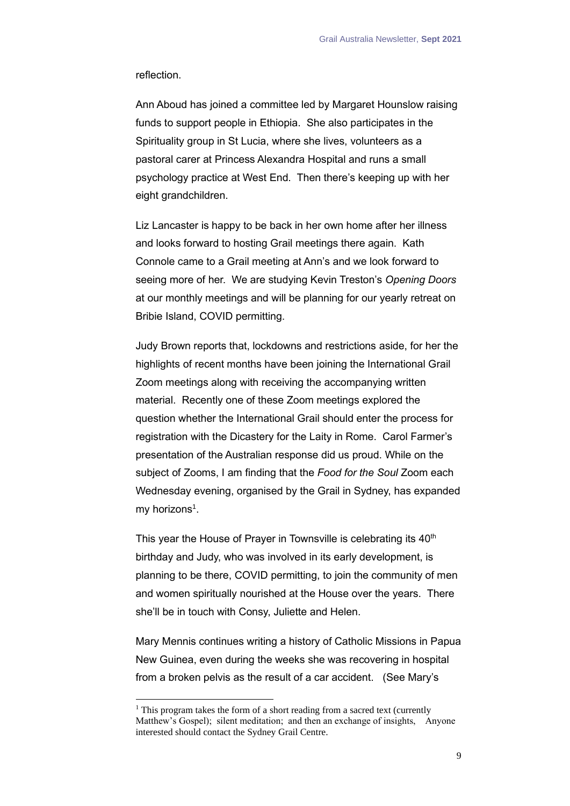reflection.

Ann Aboud has joined a committee led by Margaret Hounslow raising funds to support people in Ethiopia. She also participates in the Spirituality group in St Lucia, where she lives, volunteers as a pastoral carer at Princess Alexandra Hospital and runs a small psychology practice at West End. Then there's keeping up with her eight grandchildren.

Liz Lancaster is happy to be back in her own home after her illness and looks forward to hosting Grail meetings there again. Kath Connole came to a Grail meeting at Ann's and we look forward to seeing more of her. We are studying Kevin Treston's *Opening Doors* at our monthly meetings and will be planning for our yearly retreat on Bribie Island, COVID permitting.

Judy Brown reports that, lockdowns and restrictions aside, for her the highlights of recent months have been joining the International Grail Zoom meetings along with receiving the accompanying written material. Recently one of these Zoom meetings explored the question whether the International Grail should enter the process for registration with the Dicastery for the Laity in Rome. Carol Farmer's presentation of the Australian response did us proud. While on the subject of Zooms, I am finding that the *Food for the Soul* Zoom each Wednesday evening, organised by the Grail in Sydney, has expanded my horizons<sup>1</sup>.

This year the House of Prayer in Townsville is celebrating its 40<sup>th</sup> birthday and Judy, who was involved in its early development, is planning to be there, COVID permitting, to join the community of men and women spiritually nourished at the House over the years. There she'll be in touch with Consy, Juliette and Helen.

Mary Mennis continues writing a history of Catholic Missions in Papua New Guinea, even during the weeks she was recovering in hospital from a broken pelvis as the result of a car accident. (See Mary's

 $1$  This program takes the form of a short reading from a sacred text (currently Matthew's Gospel); silent meditation; and then an exchange of insights, Anyone interested should contact the Sydney Grail Centre.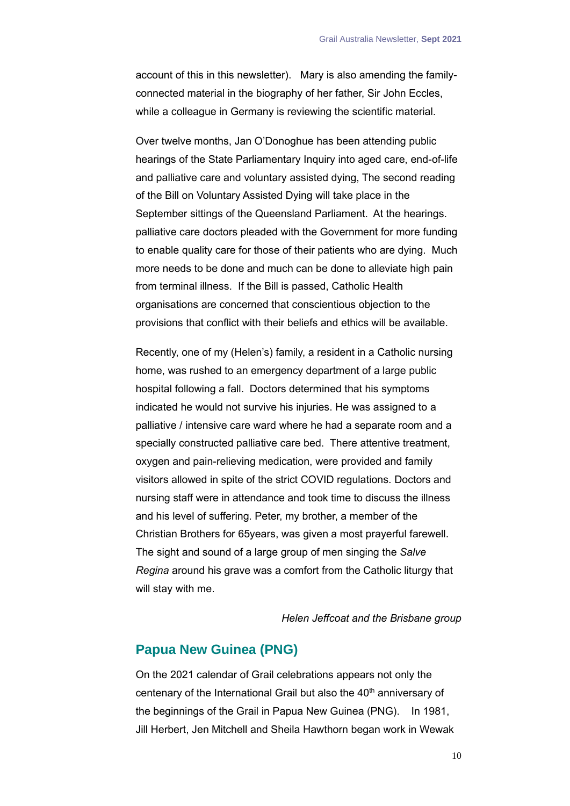account of this in this newsletter). Mary is also amending the familyconnected material in the biography of her father, Sir John Eccles, while a colleague in Germany is reviewing the scientific material.

Over twelve months, Jan O'Donoghue has been attending public hearings of the State Parliamentary Inquiry into aged care, end-of-life and palliative care and voluntary assisted dying, The second reading of the Bill on Voluntary Assisted Dying will take place in the September sittings of the Queensland Parliament. At the hearings. palliative care doctors pleaded with the Government for more funding to enable quality care for those of their patients who are dying. Much more needs to be done and much can be done to alleviate high pain from terminal illness. If the Bill is passed, Catholic Health organisations are concerned that conscientious objection to the provisions that conflict with their beliefs and ethics will be available.

Recently, one of my (Helen's) family, a resident in a Catholic nursing home, was rushed to an emergency department of a large public hospital following a fall. Doctors determined that his symptoms indicated he would not survive his injuries. He was assigned to a palliative / intensive care ward where he had a separate room and a specially constructed palliative care bed. There attentive treatment, oxygen and pain-relieving medication, were provided and family visitors allowed in spite of the strict COVID regulations. Doctors and nursing staff were in attendance and took time to discuss the illness and his level of suffering. Peter, my brother, a member of the Christian Brothers for 65years, was given a most prayerful farewell. The sight and sound of a large group of men singing the *Salve Regina* around his grave was a comfort from the Catholic liturgy that will stay with me.

*Helen Jeffcoat and the Brisbane group*

### <span id="page-9-0"></span>**Papua New Guinea (PNG)**

On the 2021 calendar of Grail celebrations appears not only the centenary of the International Grail but also the 40<sup>th</sup> anniversary of the beginnings of the Grail in Papua New Guinea (PNG). In 1981, Jill Herbert, Jen Mitchell and Sheila Hawthorn began work in Wewak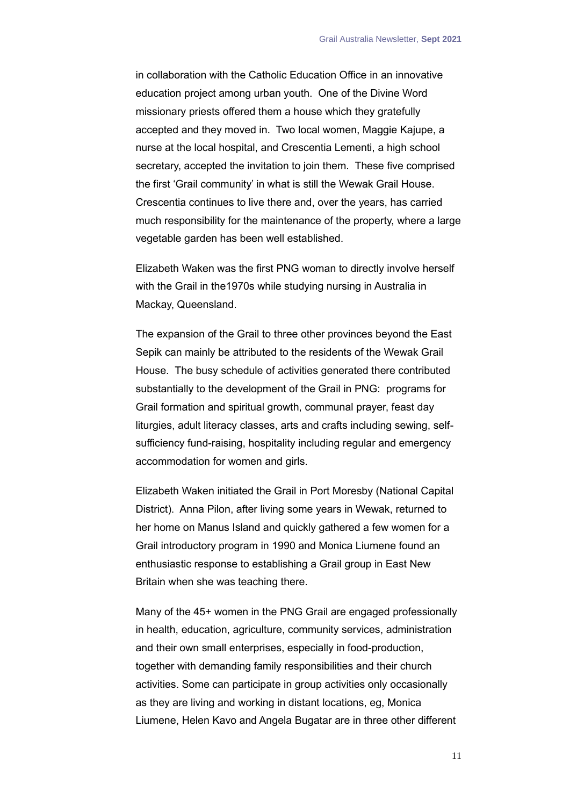in collaboration with the Catholic Education Office in an innovative education project among urban youth. One of the Divine Word missionary priests offered them a house which they gratefully accepted and they moved in. Two local women, Maggie Kajupe, a nurse at the local hospital, and Crescentia Lementi, a high school secretary, accepted the invitation to join them. These five comprised the first 'Grail community' in what is still the Wewak Grail House. Crescentia continues to live there and, over the years, has carried much responsibility for the maintenance of the property, where a large vegetable garden has been well established.

Elizabeth Waken was the first PNG woman to directly involve herself with the Grail in the1970s while studying nursing in Australia in Mackay, Queensland.

The expansion of the Grail to three other provinces beyond the East Sepik can mainly be attributed to the residents of the Wewak Grail House. The busy schedule of activities generated there contributed substantially to the development of the Grail in PNG: programs for Grail formation and spiritual growth, communal prayer, feast day liturgies, adult literacy classes, arts and crafts including sewing, selfsufficiency fund-raising, hospitality including regular and emergency accommodation for women and girls.

Elizabeth Waken initiated the Grail in Port Moresby (National Capital District). Anna Pilon, after living some years in Wewak, returned to her home on Manus Island and quickly gathered a few women for a Grail introductory program in 1990 and Monica Liumene found an enthusiastic response to establishing a Grail group in East New Britain when she was teaching there.

Many of the 45+ women in the PNG Grail are engaged professionally in health, education, agriculture, community services, administration and their own small enterprises, especially in food-production, together with demanding family responsibilities and their church activities. Some can participate in group activities only occasionally as they are living and working in distant locations, eg, Monica Liumene, Helen Kavo and Angela Bugatar are in three other different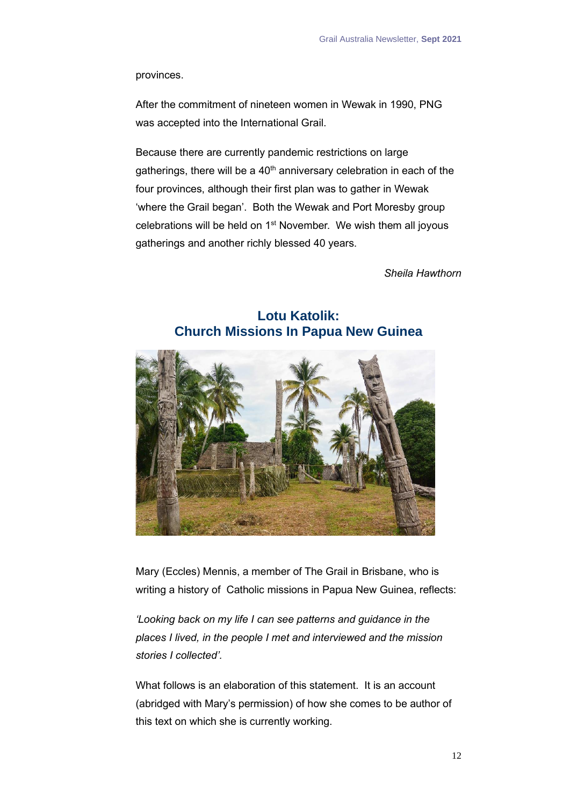provinces.

After the commitment of nineteen women in Wewak in 1990, PNG was accepted into the International Grail.

Because there are currently pandemic restrictions on large gatherings, there will be a  $40<sup>th</sup>$  anniversary celebration in each of the four provinces, although their first plan was to gather in Wewak 'where the Grail began'. Both the Wewak and Port Moresby group celebrations will be held on 1st November. We wish them all joyous gatherings and another richly blessed 40 years.

*Sheila Hawthorn*

<span id="page-11-0"></span>

# **Lotu Katolik: Church Missions In Papua New Guinea**

Mary (Eccles) Mennis, a member of The Grail in Brisbane, who is writing a history of Catholic missions in Papua New Guinea, reflects:

*'Looking back on my life I can see patterns and guidance in the places I lived, in the people I met and interviewed and the mission stories I collected'.*

What follows is an elaboration of this statement. It is an account (abridged with Mary's permission) of how she comes to be author of this text on which she is currently working.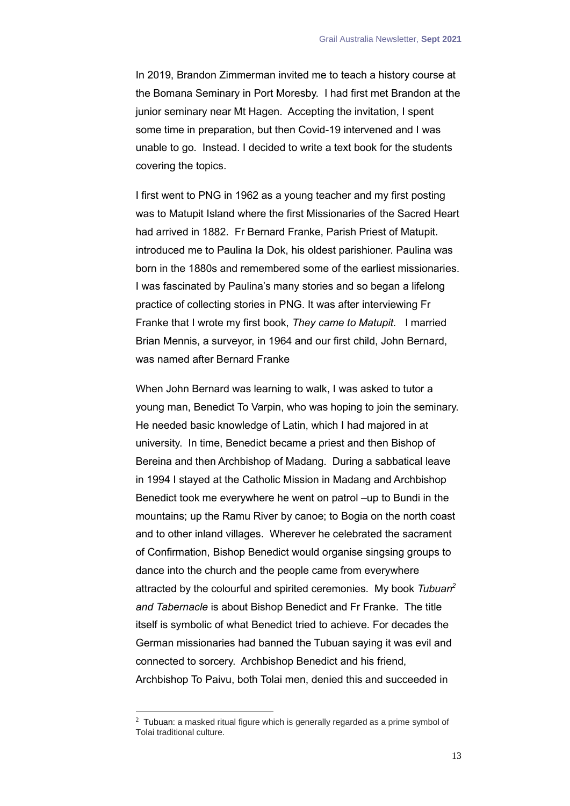In 2019, Brandon Zimmerman invited me to teach a history course at the Bomana Seminary in Port Moresby. I had first met Brandon at the junior seminary near Mt Hagen. Accepting the invitation, I spent some time in preparation, but then Covid-19 intervened and I was unable to go. Instead. I decided to write a text book for the students covering the topics.

I first went to PNG in 1962 as a young teacher and my first posting was to Matupit Island where the first Missionaries of the Sacred Heart had arrived in 1882. Fr Bernard Franke, Parish Priest of Matupit. introduced me to Paulina Ia Dok, his oldest parishioner. Paulina was born in the 1880s and remembered some of the earliest missionaries. I was fascinated by Paulina's many stories and so began a lifelong practice of collecting stories in PNG. It was after interviewing Fr Franke that I wrote my first book, *They came to Matupit.* I married Brian Mennis, a surveyor, in 1964 and our first child, John Bernard, was named after Bernard Franke

When John Bernard was learning to walk, I was asked to tutor a young man, Benedict To Varpin, who was hoping to join the seminary. He needed basic knowledge of Latin, which I had majored in at university. In time, Benedict became a priest and then Bishop of Bereina and then Archbishop of Madang. During a sabbatical leave in 1994 I stayed at the Catholic Mission in Madang and Archbishop Benedict took me everywhere he went on patrol –up to Bundi in the mountains; up the Ramu River by canoe; to Bogia on the north coast and to other inland villages. Wherever he celebrated the sacrament of Confirmation, Bishop Benedict would organise singsing groups to dance into the church and the people came from everywhere attracted by the colourful and spirited ceremonies. My book *Tubuan<sup>2</sup> and Tabernacle* is about Bishop Benedict and Fr Franke. The title itself is symbolic of what Benedict tried to achieve. For decades the German missionaries had banned the Tubuan saying it was evil and connected to sorcery. Archbishop Benedict and his friend, Archbishop To Paivu, both Tolai men, denied this and succeeded in

 $2$  Tubuan: a masked ritual figure which is generally regarded as a prime symbol of Tolai traditional culture.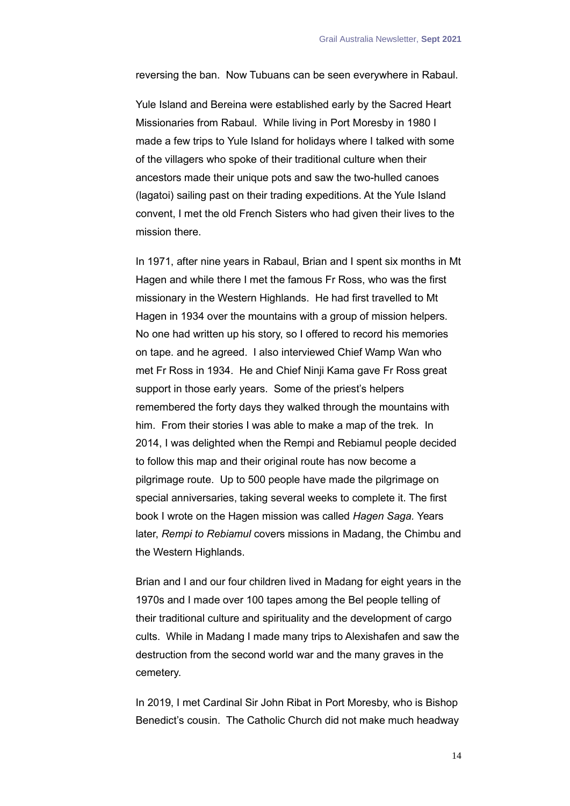reversing the ban. Now Tubuans can be seen everywhere in Rabaul.

Yule Island and Bereina were established early by the Sacred Heart Missionaries from Rabaul. While living in Port Moresby in 1980 I made a few trips to Yule Island for holidays where I talked with some of the villagers who spoke of their traditional culture when their ancestors made their unique pots and saw the two-hulled canoes (lagatoi) sailing past on their trading expeditions. At the Yule Island convent, I met the old French Sisters who had given their lives to the mission there.

In 1971, after nine years in Rabaul, Brian and I spent six months in Mt Hagen and while there I met the famous Fr Ross, who was the first missionary in the Western Highlands. He had first travelled to Mt Hagen in 1934 over the mountains with a group of mission helpers. No one had written up his story, so I offered to record his memories on tape. and he agreed. I also interviewed Chief Wamp Wan who met Fr Ross in 1934. He and Chief Ninji Kama gave Fr Ross great support in those early years. Some of the priest's helpers remembered the forty days they walked through the mountains with him. From their stories I was able to make a map of the trek. In 2014, I was delighted when the Rempi and Rebiamul people decided to follow this map and their original route has now become a pilgrimage route. Up to 500 people have made the pilgrimage on special anniversaries, taking several weeks to complete it. The first book I wrote on the Hagen mission was called *Hagen Saga.* Years later, *Rempi to Rebiamul* covers missions in Madang, the Chimbu and the Western Highlands.

Brian and I and our four children lived in Madang for eight years in the 1970s and I made over 100 tapes among the Bel people telling of their traditional culture and spirituality and the development of cargo cults. While in Madang I made many trips to Alexishafen and saw the destruction from the second world war and the many graves in the cemetery.

In 2019, I met Cardinal Sir John Ribat in Port Moresby, who is Bishop Benedict's cousin. The Catholic Church did not make much headway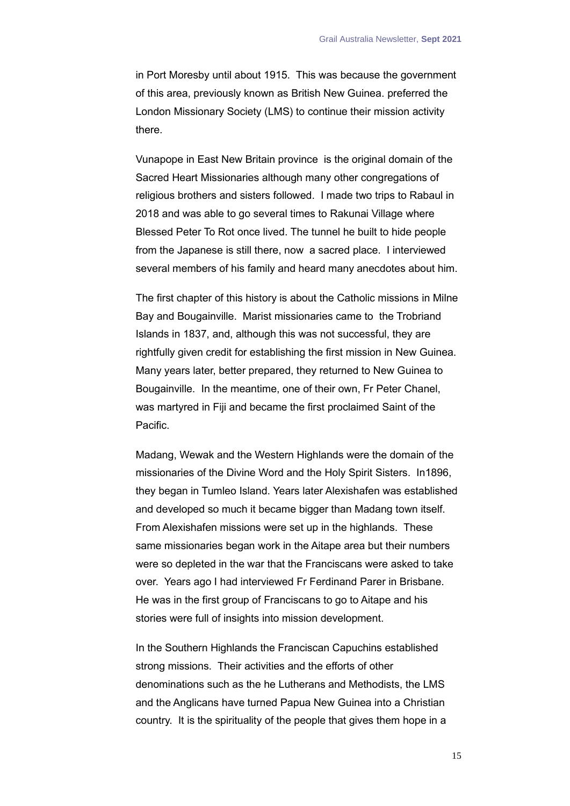in Port Moresby until about 1915. This was because the government of this area, previously known as British New Guinea. preferred the London Missionary Society (LMS) to continue their mission activity there.

Vunapope in East New Britain province is the original domain of the Sacred Heart Missionaries although many other congregations of religious brothers and sisters followed. I made two trips to Rabaul in 2018 and was able to go several times to Rakunai Village where Blessed Peter To Rot once lived. The tunnel he built to hide people from the Japanese is still there, now a sacred place. I interviewed several members of his family and heard many anecdotes about him.

The first chapter of this history is about the Catholic missions in Milne Bay and Bougainville. Marist missionaries came to the Trobriand Islands in 1837, and, although this was not successful, they are rightfully given credit for establishing the first mission in New Guinea. Many years later, better prepared, they returned to New Guinea to Bougainville. In the meantime, one of their own, Fr Peter Chanel, was martyred in Fiji and became the first proclaimed Saint of the Pacific.

Madang, Wewak and the Western Highlands were the domain of the missionaries of the Divine Word and the Holy Spirit Sisters. In1896, they began in Tumleo Island. Years later Alexishafen was established and developed so much it became bigger than Madang town itself. From Alexishafen missions were set up in the highlands. These same missionaries began work in the Aitape area but their numbers were so depleted in the war that the Franciscans were asked to take over. Years ago I had interviewed Fr Ferdinand Parer in Brisbane. He was in the first group of Franciscans to go to Aitape and his stories were full of insights into mission development.

In the Southern Highlands the Franciscan Capuchins established strong missions. Their activities and the efforts of other denominations such as the he Lutherans and Methodists, the LMS and the Anglicans have turned Papua New Guinea into a Christian country. It is the spirituality of the people that gives them hope in a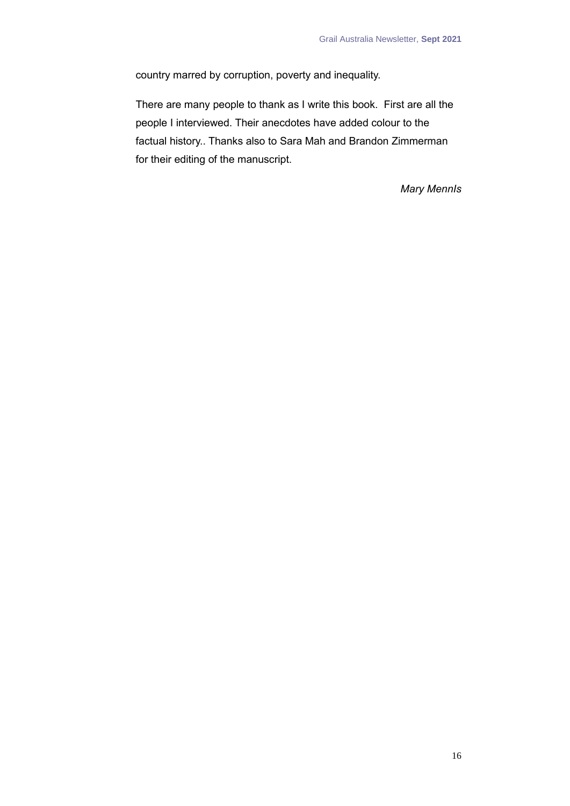country marred by corruption, poverty and inequality.

There are many people to thank as I write this book. First are all the people I interviewed. Their anecdotes have added colour to the factual history.. Thanks also to Sara Mah and Brandon Zimmerman for their editing of the manuscript.

*Mary MennIs*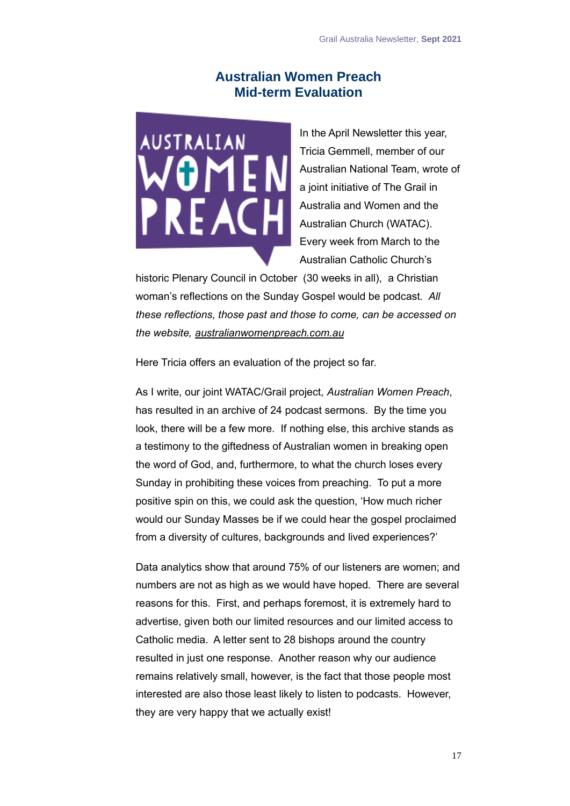# **Australian Women Preach Mid-term Evaluation**

<span id="page-16-0"></span>**USTRALIAN** VOME **REACH** 

In the April Newsletter this year, Tricia Gemmell, member of our Australian National Team, wrote of a joint initiative of The Grail in Australia and Women and the Australian Church (WATAC). Every week from March to the Australian Catholic Church's

historic Plenary Council in October (30 weeks in all), a Christian woman's reflections on the Sunday Gospel would be podcast*. All these reflections, those past and those to come, can be accessed on the website, australianwomenpreach.com.au* 

Here Tricia offers an evaluation of the project so far.

As I write, our joint WATAC/Grail project, *Australian Women Preach*, has resulted in an archive of 24 podcast sermons. By the time you look, there will be a few more. If nothing else, this archive stands as a testimony to the giftedness of Australian women in breaking open the word of God, and, furthermore, to what the church loses every Sunday in prohibiting these voices from preaching. To put a more positive spin on this, we could ask the question, 'How much richer would our Sunday Masses be if we could hear the gospel proclaimed from a diversity of cultures, backgrounds and lived experiences?'

Data analytics show that around 75% of our listeners are women; and numbers are not as high as we would have hoped. There are several reasons for this. First, and perhaps foremost, it is extremely hard to advertise, given both our limited resources and our limited access to Catholic media. A letter sent to 28 bishops around the country resulted in just one response. Another reason why our audience remains relatively small, however, is the fact that those people most interested are also those least likely to listen to podcasts. However, they are very happy that we actually exist!